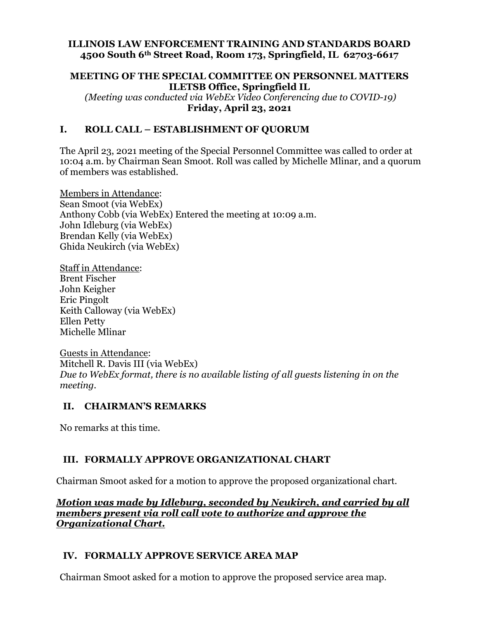#### **ILLINOIS LAW ENFORCEMENT TRAINING AND STANDARDS BOARD 4500 South 6th Street Road, Room 173, Springfield, IL 62703-6617**

#### **MEETING OF THE SPECIAL COMMITTEE ON PERSONNEL MATTERS ILETSB Office, Springfield IL**

 *(Meeting was conducted via WebEx Video Conferencing due to COVID-19)*  **Friday, April 23, 2021** 

## **I. ROLL CALL – ESTABLISHMENT OF QUORUM**

The April 23, 2021 meeting of the Special Personnel Committee was called to order at 10:04 a.m. by Chairman Sean Smoot. Roll was called by Michelle Mlinar, and a quorum of members was established.

Members in Attendance: Sean Smoot (via WebEx) Anthony Cobb (via WebEx) Entered the meeting at 10:09 a.m. John Idleburg (via WebEx) Brendan Kelly (via WebEx) Ghida Neukirch (via WebEx)

Staff in Attendance: Brent Fischer John Keigher Eric Pingolt Keith Calloway (via WebEx) Ellen Petty Michelle Mlinar

Guests in Attendance: Mitchell R. Davis III (via WebEx) *Due to WebEx format, there is no available listing of all guests listening in on the meeting.* 

## **II. CHAIRMAN'S REMARKS**

No remarks at this time.

# **III. FORMALLY APPROVE ORGANIZATIONAL CHART**

Chairman Smoot asked for a motion to approve the proposed organizational chart.

*Motion was made by Idleburg, seconded by Neukirch, and carried by all members present via roll call vote to authorize and approve the Organizational Chart.* 

## **IV. FORMALLY APPROVE SERVICE AREA MAP**

Chairman Smoot asked for a motion to approve the proposed service area map.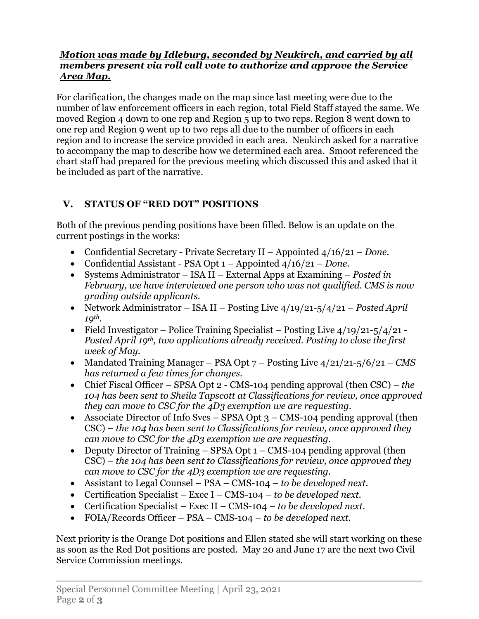## *Motion was made by Idleburg, seconded by Neukirch, and carried by all members present via roll call vote to authorize and approve the Service Area Map.*

For clarification, the changes made on the map since last meeting were due to the number of law enforcement officers in each region, total Field Staff stayed the same. We moved Region 4 down to one rep and Region 5 up to two reps. Region 8 went down to one rep and Region 9 went up to two reps all due to the number of officers in each region and to increase the service provided in each area. Neukirch asked for a narrative to accompany the map to describe how we determined each area. Smoot referenced the chart staff had prepared for the previous meeting which discussed this and asked that it be included as part of the narrative.

# **V. STATUS OF "RED DOT" POSITIONS**

Both of the previous pending positions have been filled. Below is an update on the current postings in the works:

- Confidential Secretary Private Secretary II Appointed 4/16/21 *Done.*
- Confidential Assistant PSA Opt 1 Appointed 4/16/21 *Done.*
- Systems Administrator ISA II External Apps at Examining *Posted in February, we have interviewed one person who was not qualified. CMS is now grading outside applicants.*
- Network Administrator ISA II Posting Live 4/19/21-5/4/21 *Posted April 19th.*
- Field Investigator Police Training Specialist Posting Live  $4/19/21-5/4/21$ *Posted April 19th, two applications already received. Posting to close the first week of May.*
- Mandated Training Manager PSA Opt 7 Posting Live 4/21/21-5/6/21 *CMS has returned a few times for changes.*
- Chief Fiscal Officer SPSA Opt 2 CMS-104 pending approval (then CSC)  *the 104 has been sent to Sheila Tapscott at Classifications for review, once approved they can move to CSC for the 4D3 exemption we are requesting.*
- Associate Director of Info Svcs SPSA Opt  $3 CMS-104$  pending approval (then CSC) *– the 104 has been sent to Classifications for review, once approved they can move to CSC for the 4D3 exemption we are requesting.*
- Deputy Director of Training SPSA Opt 1 CMS-104 pending approval (then CSC) *– the 104 has been sent to Classifications for review, once approved they can move to CSC for the 4D3 exemption we are requesting.*
- Assistant to Legal Counsel PSA CMS-104  *to be developed next.*
- Certification Specialist Exec I CMS-104  *to be developed next.*
- Certification Specialist Exec II CMS-104  *to be developed next.*
- FOIA/Records Officer PSA CMS-104  *to be developed next.*

Next priority is the Orange Dot positions and Ellen stated she will start working on these as soon as the Red Dot positions are posted. May 20 and June 17 are the next two Civil Service Commission meetings.